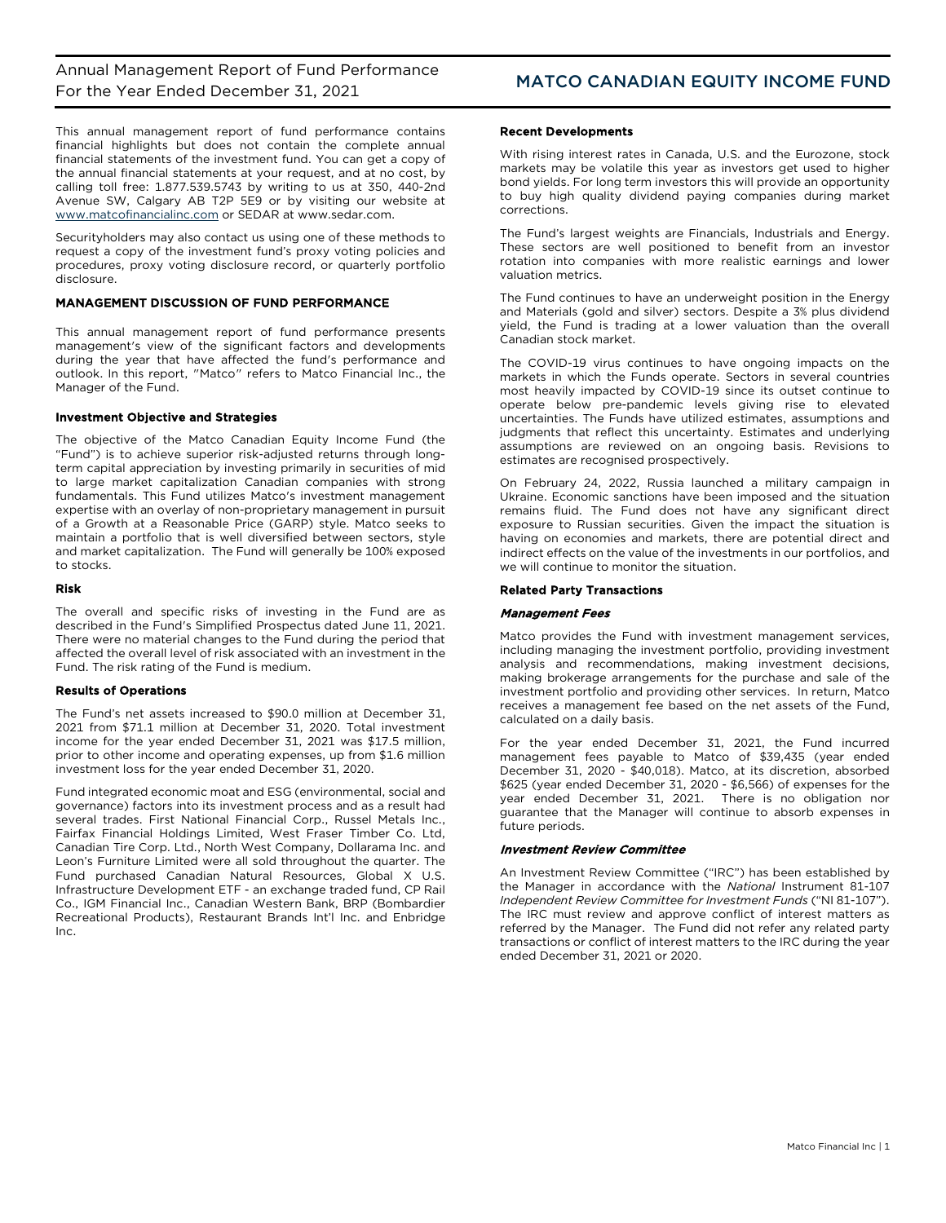This annual management report of fund performance contains financial highlights but does not contain the complete annual financial statements of the investment fund. You can get a copy of the annual financial statements at your request, and at no cost, by calling toll free: 1.877.539.5743 by writing to us at 350, 440-2nd Avenue SW, Calgary AB T2P 5E9 or by visiting our website at [www.matcofinancialinc.com](http://www.matcofinancialinc.com/) or SEDAR at www.sedar.com.

Securityholders may also contact us using one of these methods to request a copy of the investment fund's proxy voting policies and procedures, proxy voting disclosure record, or quarterly portfolio disclosure.

## MANAGEMENT DISCUSSION OF FUND PERFORMANCE

This annual management report of fund performance presents management's view of the significant factors and developments during the year that have affected the fund's performance and outlook. In this report, "Matco" refers to Matco Financial Inc., the Manager of the Fund.

## Investment Objective and Strategies

The objective of the Matco Canadian Equity Income Fund (the "Fund") is to achieve superior risk-adjusted returns through longterm capital appreciation by investing primarily in securities of mid to large market capitalization Canadian companies with strong fundamentals. This Fund utilizes Matco's investment management expertise with an overlay of non-proprietary management in pursuit of a Growth at a Reasonable Price (GARP) style. Matco seeks to maintain a portfolio that is well diversified between sectors, style and market capitalization. The Fund will generally be 100% exposed to stocks.

## Risk

The overall and specific risks of investing in the Fund are as described in the Fund's Simplified Prospectus dated June 11, 2021. There were no material changes to the Fund during the period that affected the overall level of risk associated with an investment in the Fund. The risk rating of the Fund is medium.

## Results of Operations

The Fund's net assets increased to \$90.0 million at December 31, 2021 from \$71.1 million at December 31, 2020. Total investment income for the year ended December 31, 2021 was \$17.5 million, prior to other income and operating expenses, up from \$1.6 million investment loss for the year ended December 31, 2020.

Fund integrated economic moat and ESG (environmental, social and governance) factors into its investment process and as a result had several trades. First National Financial Corp., Russel Metals Inc., Fairfax Financial Holdings Limited, West Fraser Timber Co. Ltd, Canadian Tire Corp. Ltd., North West Company, Dollarama Inc. and Leon's Furniture Limited were all sold throughout the quarter. The Fund purchased Canadian Natural Resources, Global X U.S. Infrastructure Development ETF - an exchange traded fund, CP Rail Co., IGM Financial Inc., Canadian Western Bank, BRP (Bombardier Recreational Products), Restaurant Brands Int'l Inc. and Enbridge Inc.

## Recent Developments

With rising interest rates in Canada, U.S. and the Eurozone, stock markets may be volatile this year as investors get used to higher bond yields. For long term investors this will provide an opportunity to buy high quality dividend paying companies during market corrections.

The Fund's largest weights are Financials, Industrials and Energy. These sectors are well positioned to benefit from an investor rotation into companies with more realistic earnings and lower valuation metrics.

The Fund continues to have an underweight position in the Energy and Materials (gold and silver) sectors. Despite a 3% plus dividend yield, the Fund is trading at a lower valuation than the overall Canadian stock market.

The COVID-19 virus continues to have ongoing impacts on the markets in which the Funds operate. Sectors in several countries most heavily impacted by COVID-19 since its outset continue to operate below pre-pandemic levels giving rise to elevated uncertainties. The Funds have utilized estimates, assumptions and judgments that reflect this uncertainty. Estimates and underlying assumptions are reviewed on an ongoing basis. Revisions to estimates are recognised prospectively.

On February 24, 2022, Russia launched a military campaign in Ukraine. Economic sanctions have been imposed and the situation remains fluid. The Fund does not have any significant direct exposure to Russian securities. Given the impact the situation is having on economies and markets, there are potential direct and indirect effects on the value of the investments in our portfolios, and we will continue to monitor the situation.

## Related Party Transactions

## Management Fees

Matco provides the Fund with investment management services, including managing the investment portfolio, providing investment analysis and recommendations, making investment decisions, making brokerage arrangements for the purchase and sale of the investment portfolio and providing other services. In return, Matco receives a management fee based on the net assets of the Fund, calculated on a daily basis.

For the year ended December 31, 2021, the Fund incurred management fees payable to Matco of \$39,435 (year ended December 31, 2020 - \$40,018). Matco, at its discretion, absorbed \$625 (year ended December 31, 2020 - \$6,566) of expenses for the year ended December 31, 2021. There is no obligation nor guarantee that the Manager will continue to absorb expenses in future periods.

## Investment Review Committee

An Investment Review Committee ("IRC") has been established by the Manager in accordance with the *National* Instrument 81-107 *Independent Review Committee for Investment Funds* ("NI 81-107"). The IRC must review and approve conflict of interest matters as referred by the Manager. The Fund did not refer any related party transactions or conflict of interest matters to the IRC during the year ended December 31, 2021 or 2020.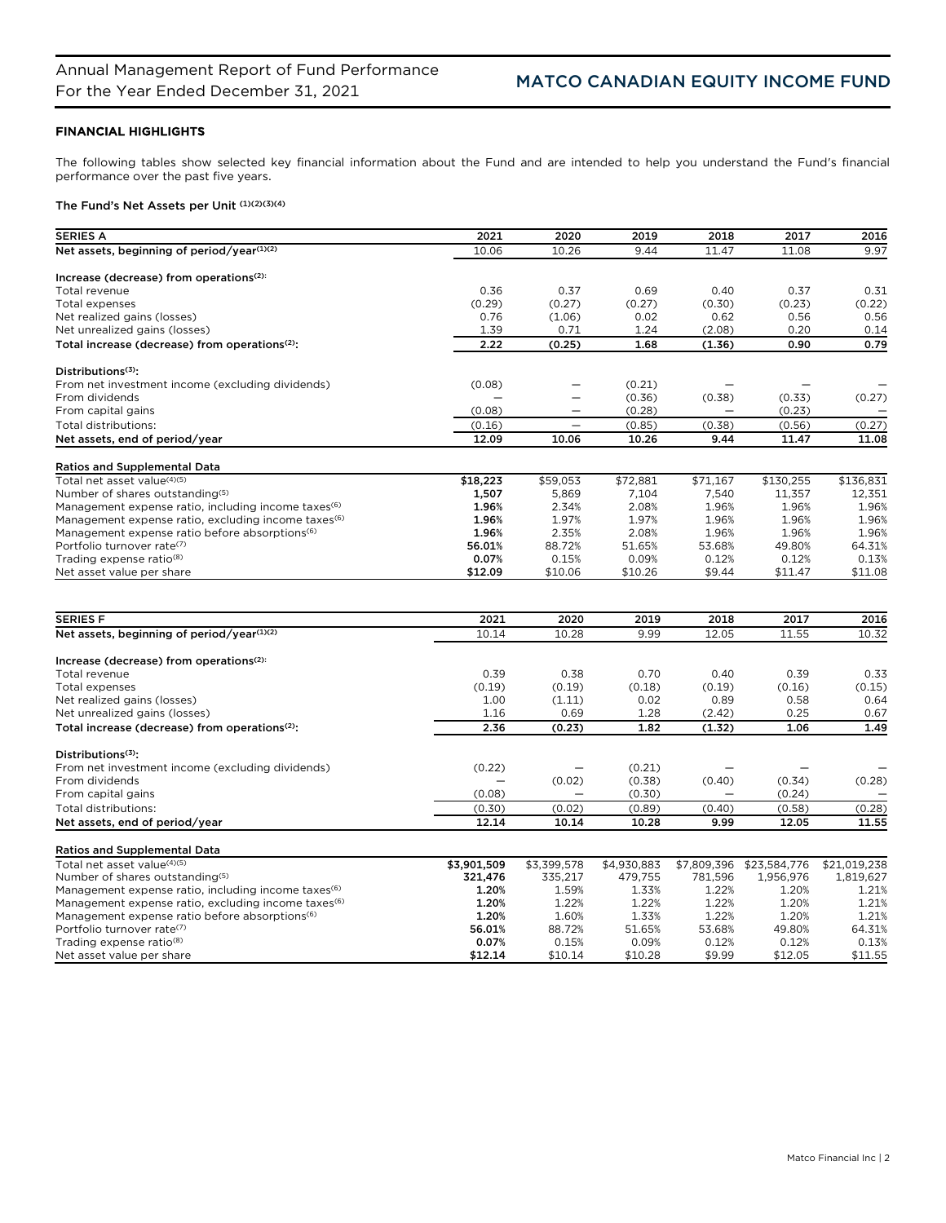# FINANCIAL HIGHLIGHTS

The following tables show selected key financial information about the Fund and are intended to help you understand the Fund's financial performance over the past five years.

# The Fund's Net Assets per Unit (1)(2)(3)(4)

| <b>SERIES A</b>                                                 | 2021        | 2020                     | 2019        | 2018        | 2017         | 2016         |
|-----------------------------------------------------------------|-------------|--------------------------|-------------|-------------|--------------|--------------|
| Net assets, beginning of period/year(1)(2)                      | 10.06       | 10.26                    | 9.44        | 11.47       | 11.08        | 9.97         |
|                                                                 |             |                          |             |             |              |              |
| Increase (decrease) from operations <sup>(2):</sup>             |             |                          |             |             |              |              |
| Total revenue                                                   | 0.36        | 0.37                     | 0.69        | 0.40        | 0.37         | 0.31         |
| Total expenses                                                  | (0.29)      | (0.27)                   | (0.27)      | (0.30)      | (0.23)       | (0.22)       |
| Net realized gains (losses)                                     | 0.76        | (1.06)                   | 0.02        | 0.62        | 0.56         | 0.56         |
| Net unrealized gains (losses)                                   | 1.39        | 0.71                     | 1.24        | (2.08)      | 0.20         | 0.14         |
| Total increase (decrease) from operations <sup>(2)</sup> :      | 2.22        | (0.25)                   | 1.68        | (1.36)      | 0.90         | 0.79         |
| Distributions <sup>(3)</sup> :                                  |             |                          |             |             |              |              |
| From net investment income (excluding dividends)                | (0.08)      | —                        | (0.21)      |             |              |              |
| From dividends                                                  |             | $\overline{\phantom{0}}$ | (0.36)      | (0.38)      | (0.33)       | (0.27)       |
| From capital gains                                              | (0.08)      | $\overline{\phantom{0}}$ | (0.28)      |             | (0.23)       |              |
| Total distributions:                                            | (0.16)      | $\qquad \qquad -$        | (0.85)      | (0.38)      | (0.56)       | (0.27)       |
| Net assets, end of period/year                                  | 12.09       | 10.06                    | 10.26       | 9.44        | 11.47        | 11.08        |
|                                                                 |             |                          |             |             |              |              |
| <b>Ratios and Supplemental Data</b>                             |             |                          |             |             |              |              |
| Total net asset value <sup>(4)(5)</sup>                         | \$18,223    | \$59,053                 | \$72,881    | \$71,167    | \$130,255    | \$136,831    |
| Number of shares outstanding(5)                                 | 1,507       | 5,869                    | 7.104       | 7,540       | 11,357       | 12,351       |
| Management expense ratio, including income taxes <sup>(6)</sup> | 1.96%       | 2.34%                    | 2.08%       | 1.96%       | 1.96%        | 1.96%        |
| Management expense ratio, excluding income taxes <sup>(6)</sup> | 1.96%       | 1.97%                    | 1.97%       | 1.96%       | 1.96%        | 1.96%        |
| Management expense ratio before absorptions <sup>(6)</sup>      | 1.96%       | 2.35%                    | 2.08%       | 1.96%       | 1.96%        | 1.96%        |
| Portfolio turnover rate <sup>(7)</sup>                          | 56.01%      | 88.72%                   | 51.65%      | 53.68%      | 49.80%       | 64.31%       |
| Trading expense ratio <sup>(8)</sup>                            | 0.07%       | 0.15%                    | 0.09%       | 0.12%       | 0.12%        | 0.13%        |
| Net asset value per share                                       | \$12.09     | \$10.06                  | \$10.26     | \$9.44      | \$11.47      | \$11.08      |
|                                                                 |             |                          |             |             |              |              |
| <b>SERIES F</b>                                                 | 2021        | 2020                     | 2019        | 2018        | 2017         | 2016         |
| Net assets, beginning of period/year(1)(2)                      | 10.14       | 10.28                    | 9.99        | 12.05       | 11.55        | 10.32        |
| Increase (decrease) from operations <sup>(2):</sup>             |             |                          |             |             |              |              |
| Total revenue                                                   | 0.39        | 0.38                     | 0.70        | 0.40        | 0.39         | 0.33         |
| <b>Total expenses</b>                                           | (0.19)      | (0.19)                   | (0.18)      | (0.19)      | (0.16)       | (0.15)       |
| Net realized gains (losses)                                     | 1.00        | (1.11)                   | 0.02        | 0.89        | 0.58         | 0.64         |
| Net unrealized gains (losses)                                   | 1.16        | 0.69                     | 1.28        | (2.42)      | 0.25         | 0.67         |
| Total increase (decrease) from operations <sup>(2)</sup> :      | 2.36        | (0.23)                   | 1.82        | (1.32)      | 1.06         | 1.49         |
|                                                                 |             |                          |             |             |              |              |
| Distributions <sup>(3)</sup> :                                  |             |                          |             |             |              |              |
| From net investment income (excluding dividends)                | (0.22)      |                          | (0.21)      |             |              |              |
| From dividends                                                  |             | (0.02)                   | (0.38)      | (0.40)      | (0.34)       | (0.28)       |
| From capital gains                                              | (0.08)      |                          | (0.30)      |             | (0.24)       |              |
| Total distributions:                                            | (0.30)      | (0.02)                   | (0.89)      | (0.40)      | (0.58)       | (0.28)       |
| Net assets, end of period/year                                  | 12.14       | 10.14                    | 10.28       | 9.99        | 12.05        | 11.55        |
| <b>Ratios and Supplemental Data</b>                             |             |                          |             |             |              |              |
| Total net asset value(4)(5)                                     | \$3,901,509 | \$3,399,578              | \$4,930,883 | \$7,809,396 | \$23,584,776 | \$21,019,238 |
| Number of shares outstanding(5)                                 | 321,476     | 335,217                  | 479,755     | 781,596     | 1,956,976    | 1,819,627    |
| Management expense ratio, including income taxes <sup>(6)</sup> | 1.20%       | 1.59%                    | 1.33%       | 1.22%       | 1.20%        | 1.21%        |
| Management expense ratio, excluding income taxes <sup>(6)</sup> | 1.20%       | 1.22%                    | 1.22%       | 1.22%       | 1.20%        | 1.21%        |
| Management expense ratio before absorptions <sup>(6)</sup>      | 1.20%       | 1.60%                    | 1.33%       | 1.22%       | 1.20%        | 1.21%        |
| Portfolio turnover rate(7)                                      | 56.01%      | 88.72%                   | 51.65%      | 53.68%      | 49.80%       | 64.31%       |
| Trading expense ratio <sup>(8)</sup>                            | 0.07%       | 0.15%                    | 0.09%       | 0.12%       | 0.12%        | 0.13%        |
| Net asset value per share                                       | \$12.14     | \$10.14                  | \$10.28     | \$9.99      | \$12.05      | \$11.55      |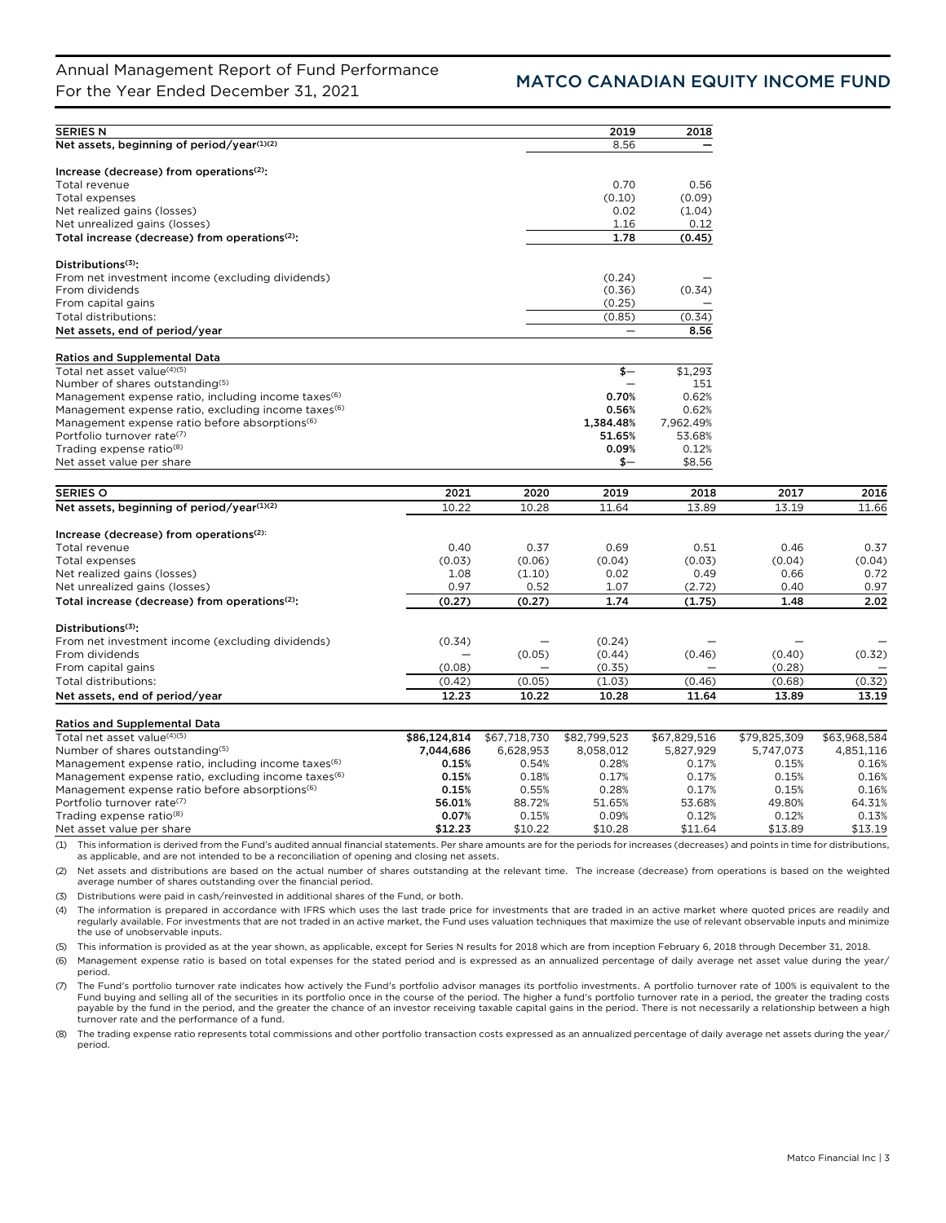| <b>SERIES N</b>                                                 |              |              | 2019         | 2018         |              |              |
|-----------------------------------------------------------------|--------------|--------------|--------------|--------------|--------------|--------------|
| Net assets, beginning of period/year(1)(2)                      |              |              | 8.56         |              |              |              |
|                                                                 |              |              |              |              |              |              |
| Increase (decrease) from operations $(2)$ :                     |              |              |              |              |              |              |
| Total revenue                                                   |              |              | 0.70         | 0.56         |              |              |
| Total expenses                                                  |              |              | (0.10)       | (0.09)       |              |              |
| Net realized gains (losses)                                     |              |              | 0.02         | (1.04)       |              |              |
| Net unrealized gains (losses)                                   |              |              | 1.16         | 0.12         |              |              |
| Total increase (decrease) from operations <sup>(2)</sup> :      |              |              | 1.78         | (0.45)       |              |              |
| Distributions <sup>(3)</sup> :                                  |              |              |              |              |              |              |
| From net investment income (excluding dividends)                |              |              | (0.24)       |              |              |              |
| From dividends                                                  |              |              | (0.36)       | (0.34)       |              |              |
| From capital gains                                              |              |              | (0.25)       |              |              |              |
| Total distributions:                                            |              |              | (0.85)       | (0.34)       |              |              |
| Net assets, end of period/year                                  |              |              |              | 8.56         |              |              |
| <b>Ratios and Supplemental Data</b>                             |              |              |              |              |              |              |
| Total net asset value <sup>(4)(5)</sup>                         |              |              | $$-$         | \$1,293      |              |              |
| Number of shares outstanding(5)                                 |              |              |              | 151          |              |              |
| Management expense ratio, including income taxes <sup>(6)</sup> |              |              | 0.70%        | 0.62%        |              |              |
| Management expense ratio, excluding income taxes <sup>(6)</sup> |              |              | 0.56%        | 0.62%        |              |              |
| Management expense ratio before absorptions <sup>(6)</sup>      |              |              | 1,384.48%    | 7,962.49%    |              |              |
| Portfolio turnover rate <sup>(7)</sup>                          |              |              | 51.65%       | 53.68%       |              |              |
| Trading expense ratio <sup>(8)</sup>                            |              |              | 0.09%        | 0.12%        |              |              |
| Net asset value per share                                       |              |              | \$—          | \$8.56       |              |              |
|                                                                 |              |              |              |              |              |              |
| <b>SERIES O</b>                                                 | 2021         | 2020         | 2019         | 2018         | 2017         | 2016         |
| Net assets, beginning of period/year(1)(2)                      | 10.22        | 10.28        | 11.64        | 13.89        | 13.19        | 11.66        |
|                                                                 |              |              |              |              |              |              |
| Increase (decrease) from operations <sup>(2):</sup>             |              |              |              |              |              |              |
| Total revenue                                                   | 0.40         | 0.37         | 0.69         | 0.51         | 0.46         | 0.37         |
| Total expenses                                                  | (0.03)       | (0.06)       | (0.04)       | (0.03)       | (0.04)       | (0.04)       |
| Net realized gains (losses)                                     | 1.08         | (1.10)       | 0.02         | 0.49         | 0.66         | 0.72         |
| Net unrealized gains (losses)                                   | 0.97         | 0.52         | 1.07         | (2.72)       | 0.40         | 0.97         |
| Total increase (decrease) from operations <sup>(2)</sup> :      | (0.27)       | (0.27)       | 1.74         | (1.75)       | 1.48         | 2.02         |
| Distributions $(3)$ :                                           |              |              |              |              |              |              |
| From net investment income (excluding dividends)                | (0.34)       |              | (0.24)       |              |              |              |
| From dividends                                                  |              | (0.05)       | (0.44)       | (0.46)       | (0.40)       | (0.32)       |
| From capital gains                                              | (0.08)       |              | (0.35)       |              | (0.28)       |              |
| Total distributions:                                            | (0.42)       | (0.05)       | (1.03)       | (0.46)       | (0.68)       | (0.32)       |
| Net assets, end of period/year                                  | 12.23        | 10.22        | 10.28        | 11.64        | 13.89        | 13.19        |
|                                                                 |              |              |              |              |              |              |
| <b>Ratios and Supplemental Data</b>                             |              |              |              |              |              |              |
| Total net asset value(4)(5)                                     | \$86,124,814 | \$67,718,730 | \$82,799,523 | \$67,829,516 | \$79,825,309 | \$63,968,584 |
| Number of shares outstanding(5)                                 | 7,044,686    | 6,628,953    | 8,058,012    | 5,827,929    | 5,747,073    | 4,851,116    |
| Management expense ratio, including income taxes <sup>(6)</sup> | 0.15%        | 0.54%        | 0.28%        | 0.17%        | 0.15%        | 0.16%        |
| Management expense ratio, excluding income taxes <sup>(6)</sup> | 0.15%        | 0.18%        | 0.17%        | 0.17%        | 0.15%        | 0.16%        |
| Management expense ratio before absorptions <sup>(6)</sup>      | 0.15%        | 0.55%        | 0.28%        | 0.17%        | 0.15%        | 0.16%        |
| Portfolio turnover rate(7)                                      | 56.01%       | 88.72%       | 51.65%       | 53.68%       | 49.80%       | 64.31%       |
| Trading expense ratio <sup>(8)</sup>                            | 0.07%        | 0.15%        | 0.09%        | 0.12%        | 0.12%        | 0.13%        |
| Net asset value per share                                       | \$12.23      | \$10.22      | \$10.28      | \$11.64      | \$13.89      | \$13.19      |

(1) This information is derived from the Fund's audited annual financial statements. Per share amounts are for the periods for increases (decreases) and points in time for distributions, as applicable, and are not intended to be a reconciliation of opening and closing net assets.

(2) Net assets and distributions are based on the actual number of shares outstanding at the relevant time. The increase (decrease) from operations is based on the weighted average number of shares outstanding over the financial period.

(3) Distributions were paid in cash/reinvested in additional shares of the Fund, or both.

(4) The information is prepared in accordance with IFRS which uses the last trade price for investments that are traded in an active market where quoted prices are readily and regularly available. For investments that are not traded in an active market, the Fund uses valuation techniques that maximize the use of relevant observable inputs and minimize the use of unobservable inputs.

(5) This information is provided as at the year shown, as applicable, except for Series N results for 2018 which are from inception February 6, 2018 through December 31, 2018.

(6) Management expense ratio is based on total expenses for the stated period and is expressed as an annualized percentage of daily average net asset value during the year/ period.

(7) The Fund's portfolio turnover rate indicates how actively the Fund's portfolio advisor manages its portfolio investments. A portfolio turnover rate of 100% is equivalent to the Fund buying and selling all of the securities in its portfolio once in the course of the period. The higher a fund's portfolio turnover rate in a period, the greater the trading costs payable by the fund in the period, and the greater the chance of an investor receiving taxable capital gains in the period. There is not necessarily a relationship between a high turnover rate and the performance of a fund.

(8) The trading expense ratio represents total commissions and other portfolio transaction costs expressed as an annualized percentage of daily average net assets during the year/ period.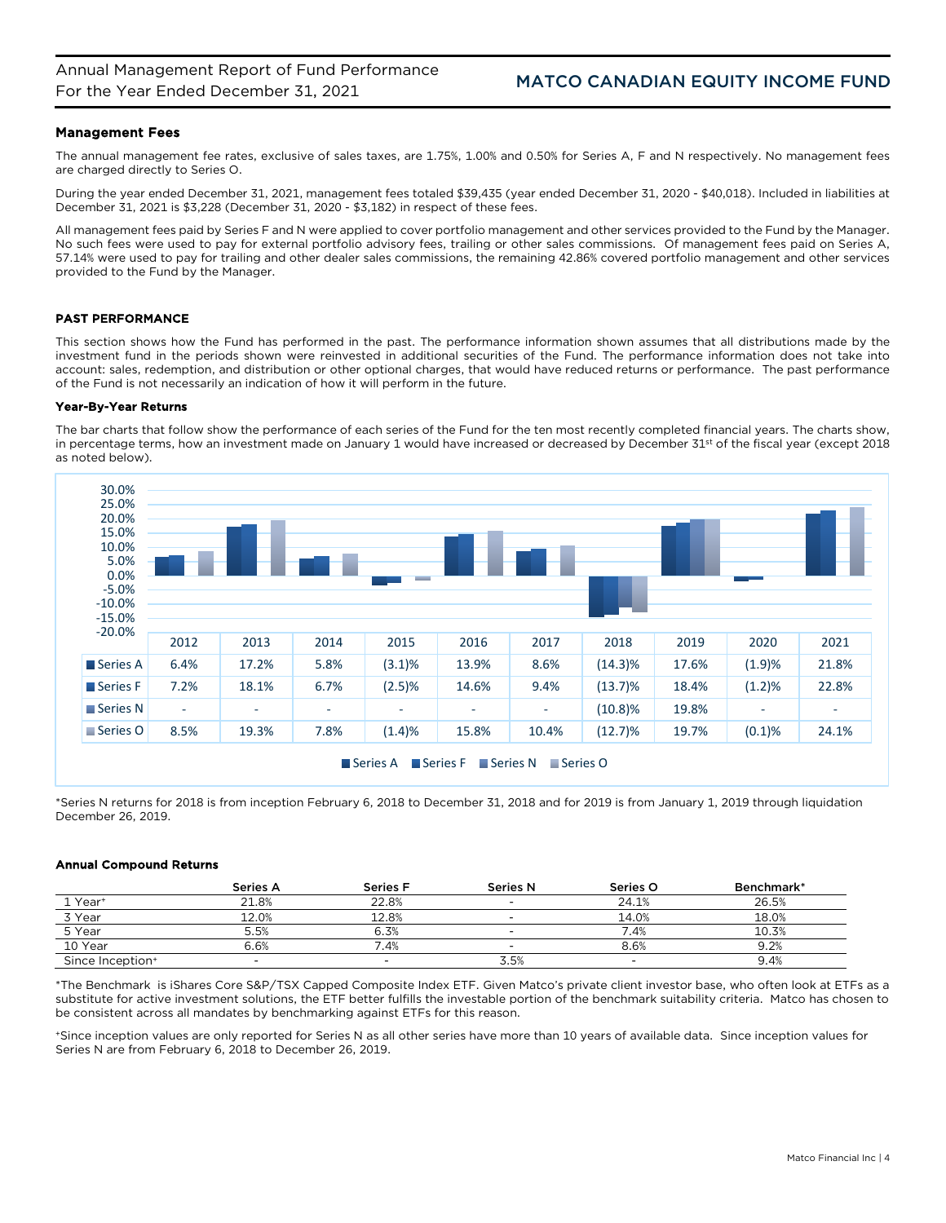## Management Fees

The annual management fee rates, exclusive of sales taxes, are 1.75%, 1.00% and 0.50% for Series A, F and N respectively. No management fees are charged directly to Series O.

During the year ended December 31, 2021, management fees totaled \$39,435 (year ended December 31, 2020 - \$40,018). Included in liabilities at December 31, 2021 is \$3,228 (December 31, 2020 - \$3,182) in respect of these fees.

All management fees paid by Series F and N were applied to cover portfolio management and other services provided to the Fund by the Manager. No such fees were used to pay for external portfolio advisory fees, trailing or other sales commissions. Of management fees paid on Series A, 57.14% were used to pay for trailing and other dealer sales commissions, the remaining 42.86% covered portfolio management and other services provided to the Fund by the Manager.

## PAST PERFORMANCE

This section shows how the Fund has performed in the past. The performance information shown assumes that all distributions made by the investment fund in the periods shown were reinvested in additional securities of the Fund. The performance information does not take into account: sales, redemption, and distribution or other optional charges, that would have reduced returns or performance. The past performance of the Fund is not necessarily an indication of how it will perform in the future.

## Year-By-Year Returns

The bar charts that follow show the performance of each series of the Fund for the ten most recently completed financial years. The charts show, in percentage terms, how an investment made on January 1 would have increased or decreased by December 31st of the fiscal year (except 2018 as noted below).



\*Series N returns for 2018 is from inception February 6, 2018 to December 31, 2018 and for 2019 is from January 1, 2019 through liquidation December 26, 2019.

## Annual Compound Returns

|                              | Series A | <b>Series F</b> | <b>Series N</b> | Series O                 | Benchmark* |
|------------------------------|----------|-----------------|-----------------|--------------------------|------------|
| 1 Year <sup>+</sup>          | 21.8%    | 22.8%           |                 | 24.1%                    | 26.5%      |
| 3 Year                       | 12.0%    | 12.8%           |                 | 14.0%                    | 18.0%      |
| 5 Year                       | 5.5%     | 6.3%            |                 | 7.4%                     | 10.3%      |
| 10 Year                      | 6.6%     | .4%             |                 | 8.6%                     | 9.2%       |
| Since Inception <sup>+</sup> |          | -               | 3.5%            | $\overline{\phantom{a}}$ | 9.4%       |

\*The Benchmark is iShares Core S&P/TSX Capped Composite Index ETF. Given Matco's private client investor base, who often look at ETFs as a substitute for active investment solutions, the ETF better fulfills the investable portion of the benchmark suitability criteria. Matco has chosen to be consistent across all mandates by benchmarking against ETFs for this reason.

+Since inception values are only reported for Series N as all other series have more than 10 years of available data. Since inception values for Series N are from February 6, 2018 to December 26, 2019.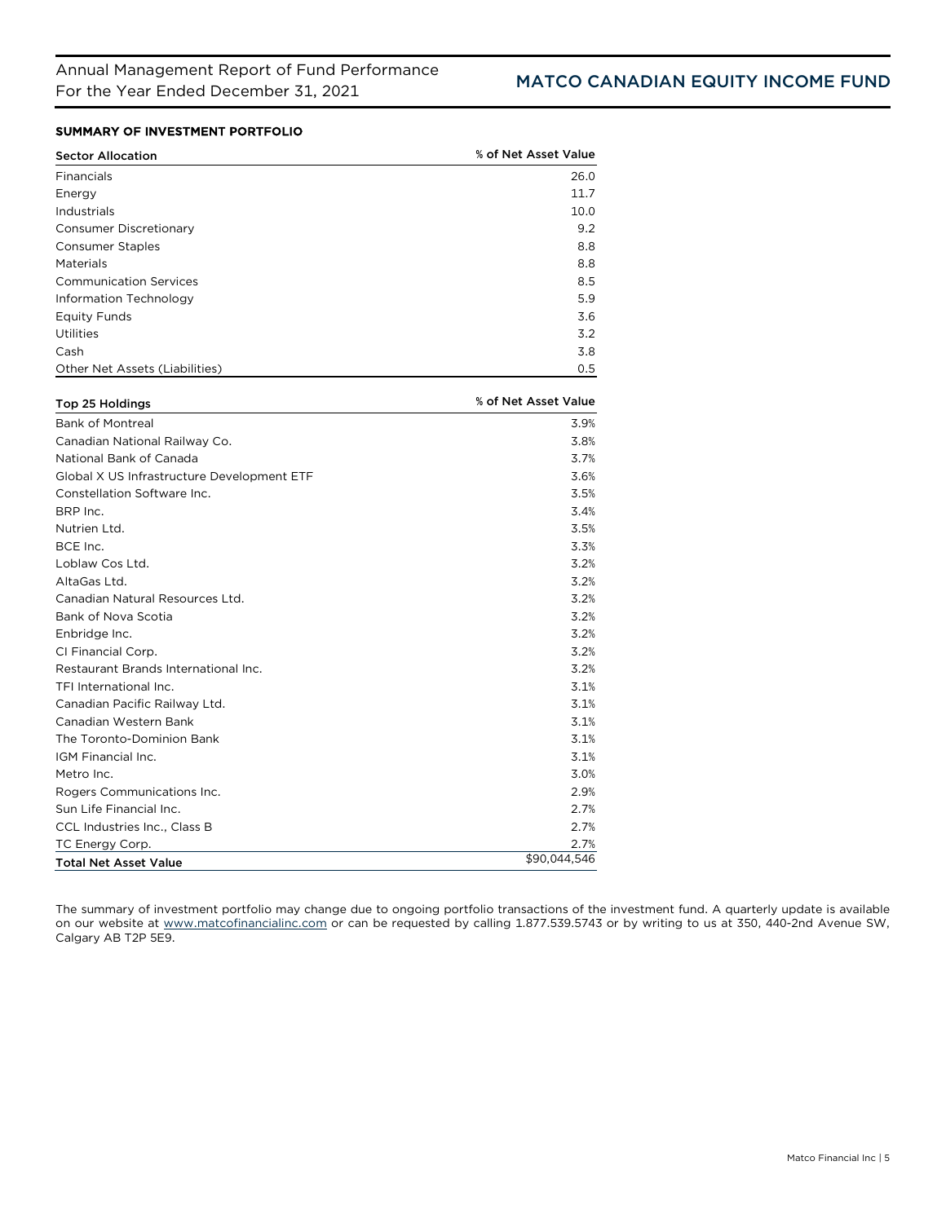# SUMMARY OF INVESTMENT PORTFOLIO

| <b>Sector Allocation</b>       | % of Net Asset Value |
|--------------------------------|----------------------|
| Financials                     | 26.0                 |
| Energy                         | 11.7                 |
| Industrials                    | 10.0                 |
| Consumer Discretionary         | 9.2                  |
| <b>Consumer Staples</b>        | 8.8                  |
| Materials                      | 8.8                  |
| <b>Communication Services</b>  | 8.5                  |
| Information Technology         | 5.9                  |
| <b>Equity Funds</b>            | 3.6                  |
| Utilities                      | 3.2                  |
| Cash                           | 3.8                  |
| Other Net Assets (Liabilities) | 0.5                  |

| Top 25 Holdings                            | % of Net Asset Value |
|--------------------------------------------|----------------------|
| <b>Bank of Montreal</b>                    | 3.9%                 |
| Canadian National Railway Co.              | 3.8%                 |
| National Bank of Canada                    | 3.7%                 |
| Global X US Infrastructure Development ETF | 3.6%                 |
| Constellation Software Inc.                | 3.5%                 |
| BRP Inc.                                   | 3.4%                 |
| Nutrien Ltd.                               | 3.5%                 |
| BCE Inc.                                   | 3.3%                 |
| Loblaw Cos Ltd.                            | 3.2%                 |
| AltaGas Ltd.                               | 3.2%                 |
| Canadian Natural Resources Ltd.            | 3.2%                 |
| Bank of Nova Scotia                        | 3.2%                 |
| Enbridge Inc.                              | 3.2%                 |
| CI Financial Corp.                         | 3.2%                 |
| Restaurant Brands International Inc.       | 3.2%                 |
| TFI International Inc.                     | 3.1%                 |
| Canadian Pacific Railway Ltd.              | 3.1%                 |
| Canadian Western Bank                      | 3.1%                 |
| The Toronto-Dominion Bank                  | 3.1%                 |
| IGM Financial Inc.                         | 3.1%                 |
| Metro Inc.                                 | 3.0%                 |
| Rogers Communications Inc.                 | 2.9%                 |
| Sun Life Financial Inc.                    | 2.7%                 |
| <b>CCL Industries Inc., Class B</b>        | 2.7%                 |
| TC Energy Corp.                            | 2.7%                 |
| <b>Total Net Asset Value</b>               | \$90.044.546         |

The summary of investment portfolio may change due to ongoing portfolio transactions of the investment fund. A quarterly update is available on our website at [www.matcofinancialinc.com](http://www.matcofinancialinc.com/) or can be requested by calling 1.877.539.5743 or by writing to us at 350, 440-2nd Avenue SW, Calgary AB T2P 5E9.